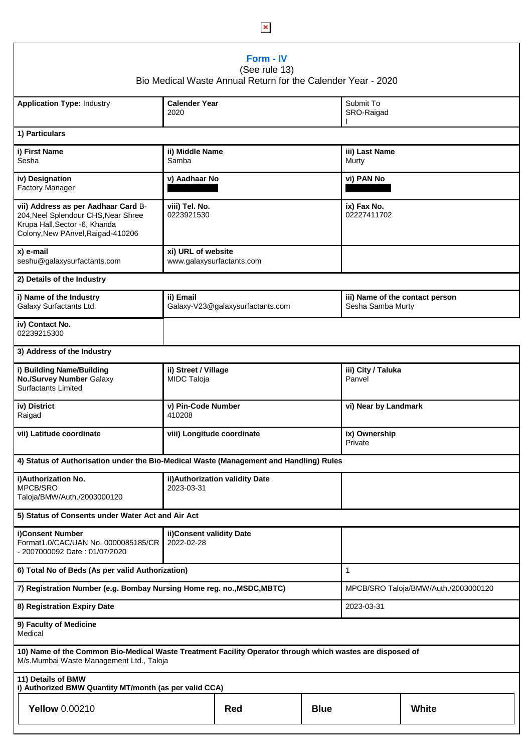| Form - IV<br>(See rule 13)<br>Bio Medical Waste Annual Return for the Calender Year - 2020                                                            |                                                 |                                 |             |                                                      |       |  |  |  |  |
|-------------------------------------------------------------------------------------------------------------------------------------------------------|-------------------------------------------------|---------------------------------|-------------|------------------------------------------------------|-------|--|--|--|--|
| <b>Application Type: Industry</b>                                                                                                                     | <b>Calender Year</b><br>2020                    |                                 |             | Submit To<br>SRO-Raigad                              |       |  |  |  |  |
| 1) Particulars                                                                                                                                        |                                                 |                                 |             |                                                      |       |  |  |  |  |
| i) First Name<br>Sesha                                                                                                                                | ii) Middle Name<br>Samba                        |                                 |             | iii) Last Name<br>Murty                              |       |  |  |  |  |
| iv) Designation<br><b>Factory Manager</b>                                                                                                             | v) Aadhaar No                                   |                                 |             | vi) PAN No                                           |       |  |  |  |  |
| vii) Address as per Aadhaar Card B-<br>204, Neel Splendour CHS, Near Shree<br>Krupa Hall, Sector -6, Khanda<br>Colony, New PAnvel, Raigad-410206      | viii) Tel. No.<br>0223921530                    |                                 |             | ix) Fax No.<br>02227411702                           |       |  |  |  |  |
| x) e-mail<br>seshu@galaxysurfactants.com                                                                                                              | xi) URL of website<br>www.galaxysurfactants.com |                                 |             |                                                      |       |  |  |  |  |
| 2) Details of the Industry                                                                                                                            |                                                 |                                 |             |                                                      |       |  |  |  |  |
| i) Name of the Industry<br>Galaxy Surfactants Ltd.                                                                                                    | ii) Email<br>Galaxy-V23@galaxysurfactants.com   |                                 |             | iii) Name of the contact person<br>Sesha Samba Murty |       |  |  |  |  |
| iv) Contact No.<br>02239215300                                                                                                                        |                                                 |                                 |             |                                                      |       |  |  |  |  |
| 3) Address of the Industry                                                                                                                            |                                                 |                                 |             |                                                      |       |  |  |  |  |
| i) Building Name/Building<br>No./Survey Number Galaxy<br><b>Surfactants Limited</b>                                                                   | ii) Street / Village<br>MIDC Taloja             |                                 |             | iii) City / Taluka<br>Panvel                         |       |  |  |  |  |
| iv) District<br>Raigad                                                                                                                                | v) Pin-Code Number<br>410208                    |                                 |             | vi) Near by Landmark                                 |       |  |  |  |  |
| vii) Latitude coordinate                                                                                                                              | viii) Longitude coordinate                      |                                 |             | ix) Ownership<br>Private                             |       |  |  |  |  |
| 4) Status of Authorisation under the Bio-Medical Waste (Management and Handling) Rules                                                                |                                                 |                                 |             |                                                      |       |  |  |  |  |
| i)Authorization No.<br><b>MPCB/SRO</b><br>Taloja/BMW/Auth./2003000120                                                                                 | 2023-03-31                                      | ii) Authorization validity Date |             |                                                      |       |  |  |  |  |
| 5) Status of Consents under Water Act and Air Act                                                                                                     |                                                 |                                 |             |                                                      |       |  |  |  |  |
| i)Consent Number<br>Format1.0/CAC/UAN No. 0000085185/CR<br>- 2007000092 Date: 01/07/2020                                                              | ii) Consent validity Date<br>2022-02-28         |                                 |             |                                                      |       |  |  |  |  |
| 6) Total No of Beds (As per valid Authorization)                                                                                                      | $\mathbf{1}$                                    |                                 |             |                                                      |       |  |  |  |  |
| 7) Registration Number (e.g. Bombay Nursing Home reg. no., MSDC, MBTC)                                                                                | MPCB/SRO Taloja/BMW/Auth./2003000120            |                                 |             |                                                      |       |  |  |  |  |
| 8) Registration Expiry Date                                                                                                                           | 2023-03-31                                      |                                 |             |                                                      |       |  |  |  |  |
| 9) Faculty of Medicine<br>Medical                                                                                                                     |                                                 |                                 |             |                                                      |       |  |  |  |  |
| 10) Name of the Common Bio-Medical Waste Treatment Facility Operator through which wastes are disposed of<br>M/s.Mumbai Waste Management Ltd., Taloja |                                                 |                                 |             |                                                      |       |  |  |  |  |
| 11) Details of BMW<br>i) Authorized BMW Quantity MT/month (as per valid CCA)                                                                          |                                                 |                                 |             |                                                      |       |  |  |  |  |
| <b>Yellow 0.00210</b>                                                                                                                                 |                                                 | Red                             | <b>Blue</b> |                                                      | White |  |  |  |  |